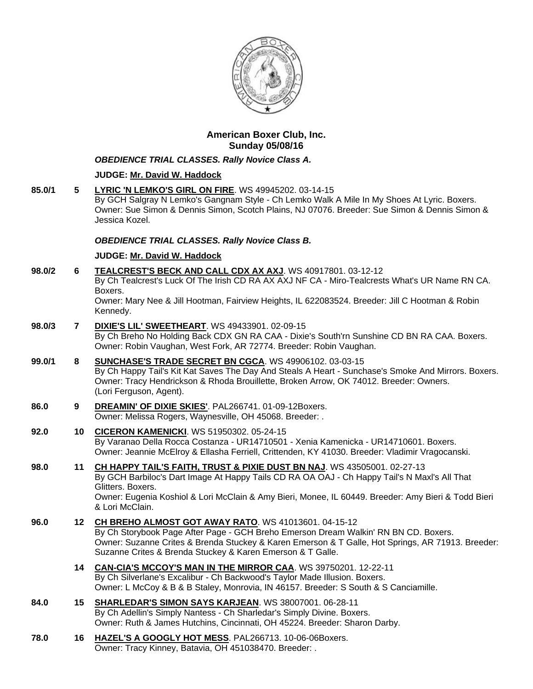

# **American Boxer Club, Inc. Sunday 05/08/16**

## *OBEDIENCE TRIAL CLASSES. Rally Novice Class A.*

## **JUDGE: [Mr. David W. Haddock](http://www.infodog.com/show/judge/jdgprofile.htm?jn=18846)**

**85.0/1 5 [LYRIC 'N LEMKO'S GIRL ON FIRE](http://www.infodog.com/my/drlookup2.htm?makc=WS%2049945202&mdog=Lyric+%27N+Lemko%27s+Girl+On+Fire&wins=all)**. WS 49945202. 03-14-15 By GCH Salgray N Lemko's Gangnam Style - Ch Lemko Walk A Mile In My Shoes At Lyric. Boxers. Owner: Sue Simon & Dennis Simon, Scotch Plains, NJ 07076. Breeder: Sue Simon & Dennis Simon & Jessica Kozel.

## *OBEDIENCE TRIAL CLASSES. Rally Novice Class B.*

## **JUDGE: [Mr. David W. Haddock](http://www.infodog.com/show/judge/jdgprofile.htm?jn=18846)**

| 98.0/2 | 6               | TEALCREST'S BECK AND CALL CDX AX AXJ. WS 40917801. 03-12-12<br>By Ch Tealcrest's Luck Of The Irish CD RA AX AXJ NF CA - Miro-Tealcrests What's UR Name RN CA.<br>Boxers.<br>Owner: Mary Nee & Jill Hootman, Fairview Heights, IL 622083524. Breeder: Jill C Hootman & Robin<br>Kennedy.                                |
|--------|-----------------|------------------------------------------------------------------------------------------------------------------------------------------------------------------------------------------------------------------------------------------------------------------------------------------------------------------------|
| 98.0/3 | $\overline{7}$  | <b>DIXIE'S LIL' SWEETHEART.</b> WS 49433901. 02-09-15<br>By Ch Breho No Holding Back CDX GN RA CAA - Dixie's South'rn Sunshine CD BN RA CAA. Boxers.<br>Owner: Robin Vaughan, West Fork, AR 72774. Breeder: Robin Vaughan.                                                                                             |
| 99.0/1 | 8               | SUNCHASE'S TRADE SECRET BN CGCA. WS 49906102. 03-03-15<br>By Ch Happy Tail's Kit Kat Saves The Day And Steals A Heart - Sunchase's Smoke And Mirrors. Boxers.<br>Owner: Tracy Hendrickson & Rhoda Brouillette, Broken Arrow, OK 74012. Breeder: Owners.<br>(Lori Ferguson, Agent).                                     |
| 86.0   | 9               | DREAMIN' OF DIXIE SKIES'. PAL266741. 01-09-12Boxers.<br>Owner: Melissa Rogers, Waynesville, OH 45068. Breeder: .                                                                                                                                                                                                       |
| 92.0   | 10 <sub>1</sub> | <b>CICERON KAMENICKI.</b> WS 51950302. 05-24-15<br>By Varanao Della Rocca Costanza - UR14710501 - Xenia Kamenicka - UR14710601. Boxers.<br>Owner: Jeannie McElroy & Ellasha Ferriell, Crittenden, KY 41030. Breeder: Vladimir Vragocanski.                                                                             |
| 98.0   | 11              | CH HAPPY TAIL'S FAITH, TRUST & PIXIE DUST BN NAJ. WS 43505001. 02-27-13<br>By GCH Barbiloc's Dart Image At Happy Tails CD RA OA OAJ - Ch Happy Tail's N Maxl's All That<br>Glitters. Boxers.<br>Owner: Eugenia Koshiol & Lori McClain & Amy Bieri, Monee, IL 60449. Breeder: Amy Bieri & Todd Bieri<br>& Lori McClain. |
| 96.0   | 12 <sup>°</sup> | CH BREHO ALMOST GOT AWAY RATO. WS 41013601. 04-15-12<br>By Ch Storybook Page After Page - GCH Breho Emerson Dream Walkin' RN BN CD. Boxers.<br>Owner: Suzanne Crites & Brenda Stuckey & Karen Emerson & T Galle, Hot Springs, AR 71913. Breeder:<br>Suzanne Crites & Brenda Stuckey & Karen Emerson & T Galle.         |
|        | 14              | <b>CAN-CIA'S MCCOY'S MAN IN THE MIRROR CAA. WS 39750201. 12-22-11</b><br>By Ch Silverlane's Excalibur - Ch Backwood's Taylor Made Illusion. Boxers.<br>Owner: L McCoy & B & B Staley, Monrovia, IN 46157. Breeder: S South & S Canciamille.                                                                            |
| 84.0   | 15              | SHARLEDAR'S SIMON SAYS KARJEAN. WS 38007001. 06-28-11<br>By Ch Adellin's Simply Nantess - Ch Sharledar's Simply Divine. Boxers.<br>Owner: Ruth & James Hutchins, Cincinnati, OH 45224. Breeder: Sharon Darby.                                                                                                          |
| 78.0   | 16              | HAZEL'S A GOOGLY HOT MESS. PAL266713. 10-06-06Boxers.<br>Owner: Tracy Kinney, Batavia, OH 451038470. Breeder: .                                                                                                                                                                                                        |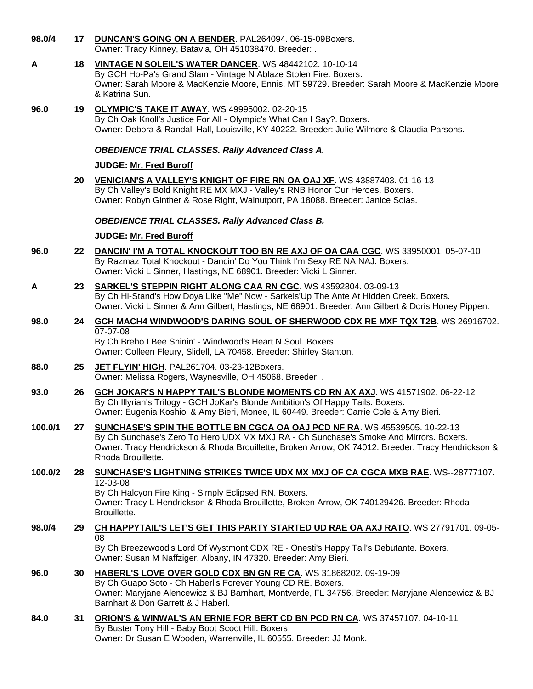| 98.0/4  | 17  | <b>DUNCAN'S GOING ON A BENDER.</b> PAL264094. 06-15-09Boxers.<br>Owner: Tracy Kinney, Batavia, OH 451038470. Breeder: .                                                                                                                                                                          |
|---------|-----|--------------------------------------------------------------------------------------------------------------------------------------------------------------------------------------------------------------------------------------------------------------------------------------------------|
| A       | 18  | <b>VINTAGE N SOLEIL'S WATER DANCER. WS 48442102. 10-10-14</b><br>By GCH Ho-Pa's Grand Slam - Vintage N Ablaze Stolen Fire. Boxers.<br>Owner: Sarah Moore & MacKenzie Moore, Ennis, MT 59729. Breeder: Sarah Moore & MacKenzie Moore<br>& Katrina Sun.                                            |
| 96.0    | 19  | <b>OLYMPIC'S TAKE IT AWAY.</b> WS 49995002. 02-20-15<br>By Ch Oak Knoll's Justice For All - Olympic's What Can I Say?. Boxers.<br>Owner: Debora & Randall Hall, Louisville, KY 40222. Breeder: Julie Wilmore & Claudia Parsons.                                                                  |
|         |     | <b>OBEDIENCE TRIAL CLASSES. Rally Advanced Class A.</b>                                                                                                                                                                                                                                          |
|         |     | <b>JUDGE: Mr. Fred Buroff</b>                                                                                                                                                                                                                                                                    |
|         | 20  | VENICIAN'S A VALLEY'S KNIGHT OF FIRE RN OA OAJ XF. WS 43887403. 01-16-13<br>By Ch Valley's Bold Knight RE MX MXJ - Valley's RNB Honor Our Heroes. Boxers.<br>Owner: Robyn Ginther & Rose Right, Walnutport, PA 18088. Breeder: Janice Solas.                                                     |
|         |     | <b>OBEDIENCE TRIAL CLASSES. Rally Advanced Class B.</b>                                                                                                                                                                                                                                          |
|         |     | <b>JUDGE: Mr. Fred Buroff</b>                                                                                                                                                                                                                                                                    |
| 96.0    | 22  | DANCIN' I'M A TOTAL KNOCKOUT TOO BN RE AXJ OF OA CAA CGC. WS 33950001. 05-07-10<br>By Razmaz Total Knockout - Dancin' Do You Think I'm Sexy RE NA NAJ. Boxers.<br>Owner: Vicki L Sinner, Hastings, NE 68901. Breeder: Vicki L Sinner.                                                            |
| A       | 23  | <b>SARKEL'S STEPPIN RIGHT ALONG CAA RN CGC. WS 43592804. 03-09-13</b><br>By Ch Hi-Stand's How Doya Like "Me" Now - Sarkels'Up The Ante At Hidden Creek. Boxers.<br>Owner: Vicki L Sinner & Ann Gilbert, Hastings, NE 68901. Breeder: Ann Gilbert & Doris Honey Pippen.                           |
| 98.0    | 24  | GCH MACH4 WINDWOOD'S DARING SOUL OF SHERWOOD CDX RE MXF TQX T2B. WS 26916702.<br>07-07-08<br>By Ch Breho I Bee Shinin' - Windwood's Heart N Soul. Boxers.<br>Owner: Colleen Fleury, Slidell, LA 70458. Breeder: Shirley Stanton.                                                                 |
| 88.0    | 25  | JET FLYIN' HIGH. PAL261704. 03-23-12Boxers.<br>Owner: Melissa Rogers, Waynesville, OH 45068. Breeder: .                                                                                                                                                                                          |
| 93.0    | 26  | GCH JOKAR'S N HAPPY TAIL'S BLONDE MOMENTS CD RN AX AXJ. WS 41571902. 06-22-12<br>By Ch Illyrian's Trilogy - GCH JoKar's Blonde Ambition's Of Happy Tails. Boxers.<br>Owner: Eugenia Koshiol & Amy Bieri, Monee, IL 60449. Breeder: Carrie Cole & Amy Bieri.                                      |
| 100.0/1 | 27  | SUNCHASE'S SPIN THE BOTTLE BN CGCA OA OAJ PCD NF RA. WS 45539505. 10-22-13<br>By Ch Sunchase's Zero To Hero UDX MX MXJ RA - Ch Sunchase's Smoke And Mirrors. Boxers.<br>Owner: Tracy Hendrickson & Rhoda Brouillette, Broken Arrow, OK 74012. Breeder: Tracy Hendrickson &<br>Rhoda Brouillette. |
| 100.0/2 | 28  | <b>SUNCHASE'S LIGHTNING STRIKES TWICE UDX MX MXJ OF CA CGCA MXB RAE. WS--28777107.</b><br>12-03-08<br>By Ch Halcyon Fire King - Simply Eclipsed RN. Boxers.<br>Owner: Tracy L Hendrickson & Rhoda Brouillette, Broken Arrow, OK 740129426. Breeder: Rhoda<br>Brouillette.                        |
| 98.0/4  | 29. | <b>CH HAPPYTAIL'S LET'S GET THIS PARTY STARTED UD RAE OA AXJ RATO. WS 27791701. 09-05-</b>                                                                                                                                                                                                       |
|         |     | 08<br>By Ch Breezewood's Lord Of Wystmont CDX RE - Onesti's Happy Tail's Debutante. Boxers.<br>Owner: Susan M Naffziger, Albany, IN 47320. Breeder: Amy Bieri.                                                                                                                                   |
| 96.0    | 30  | HABERL'S LOVE OVER GOLD CDX BN GN RE CA. WS 31868202. 09-19-09<br>By Ch Guapo Soto - Ch Haberl's Forever Young CD RE. Boxers.<br>Owner: Maryjane Alencewicz & BJ Barnhart, Montverde, FL 34756. Breeder: Maryjane Alencewicz & BJ<br>Barnhart & Don Garrett & J Haberl.                          |
| 84.0    | 31  | <b>ORION'S &amp; WINWAL'S AN ERNIE FOR BERT CD BN PCD RN CA. WS 37457107. 04-10-11</b><br>By Buster Tony Hill - Baby Boot Scoot Hill. Boxers.<br>Owner: Dr Susan E Wooden, Warrenville, IL 60555. Breeder: JJ Monk.                                                                              |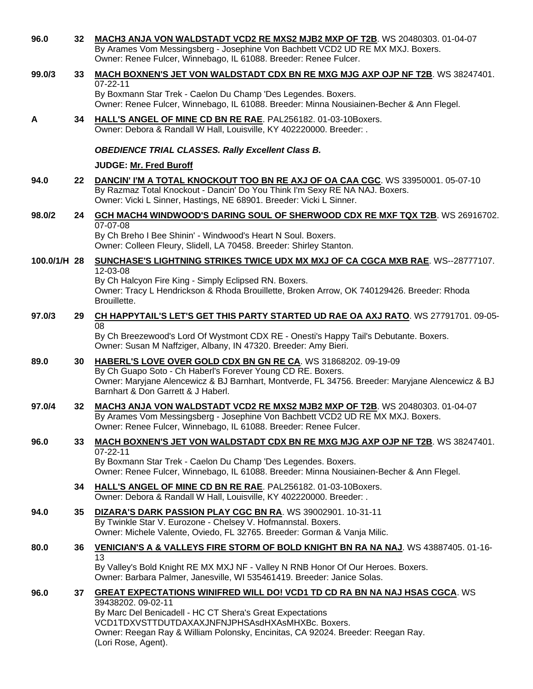| 96.0         | 32 | MACH3 ANJA VON WALDSTADT VCD2 RE MXS2 MJB2 MXP OF T2B. WS 20480303. 01-04-07<br>By Arames Vom Messingsberg - Josephine Von Bachbett VCD2 UD RE MX MXJ. Boxers.<br>Owner: Renee Fulcer, Winnebago, IL 61088. Breeder: Renee Fulcer.                                                                                                |
|--------------|----|-----------------------------------------------------------------------------------------------------------------------------------------------------------------------------------------------------------------------------------------------------------------------------------------------------------------------------------|
| 99.0/3       | 33 | <b>MACH BOXNEN'S JET VON WALDSTADT CDX BN RE MXG MJG AXP OJP NF T2B. WS 38247401.</b>                                                                                                                                                                                                                                             |
|              |    | $07 - 22 - 11$<br>By Boxmann Star Trek - Caelon Du Champ 'Des Legendes. Boxers.<br>Owner: Renee Fulcer, Winnebago, IL 61088. Breeder: Minna Nousiainen-Becher & Ann Flegel.                                                                                                                                                       |
| A            | 34 | HALL'S ANGEL OF MINE CD BN RE RAE. PAL256182. 01-03-10Boxers.<br>Owner: Debora & Randall W Hall, Louisville, KY 402220000. Breeder: .                                                                                                                                                                                             |
|              |    | <b>OBEDIENCE TRIAL CLASSES. Rally Excellent Class B.</b>                                                                                                                                                                                                                                                                          |
|              |    | <b>JUDGE: Mr. Fred Buroff</b>                                                                                                                                                                                                                                                                                                     |
| 94.0         | 22 | DANCIN' I'M A TOTAL KNOCKOUT TOO BN RE AXJ OF OA CAA CGC. WS 33950001. 05-07-10<br>By Razmaz Total Knockout - Dancin' Do You Think I'm Sexy RE NA NAJ. Boxers.<br>Owner: Vicki L Sinner, Hastings, NE 68901. Breeder: Vicki L Sinner.                                                                                             |
| 98.0/2       | 24 | GCH MACH4 WINDWOOD'S DARING SOUL OF SHERWOOD CDX RE MXF TQX T2B. WS 26916702.                                                                                                                                                                                                                                                     |
|              |    | 07-07-08<br>By Ch Breho I Bee Shinin' - Windwood's Heart N Soul. Boxers.<br>Owner: Colleen Fleury, Slidell, LA 70458. Breeder: Shirley Stanton.                                                                                                                                                                                   |
| 100.0/1/H 28 |    | SUNCHASE'S LIGHTNING STRIKES TWICE UDX MX MXJ OF CA CGCA MXB RAE. WS--28777107.<br>12-03-08                                                                                                                                                                                                                                       |
|              |    | By Ch Halcyon Fire King - Simply Eclipsed RN. Boxers.<br>Owner: Tracy L Hendrickson & Rhoda Brouillette, Broken Arrow, OK 740129426. Breeder: Rhoda<br>Brouillette.                                                                                                                                                               |
| 97.0/3       | 29 | CH HAPPYTAIL'S LET'S GET THIS PARTY STARTED UD RAE OA AXJ RATO. WS 27791701. 09-05-<br>08                                                                                                                                                                                                                                         |
|              |    | By Ch Breezewood's Lord Of Wystmont CDX RE - Onesti's Happy Tail's Debutante. Boxers.<br>Owner: Susan M Naffziger, Albany, IN 47320. Breeder: Amy Bieri.                                                                                                                                                                          |
| 89.0         | 30 | HABERL'S LOVE OVER GOLD CDX BN GN RE CA. WS 31868202. 09-19-09<br>By Ch Guapo Soto - Ch Haberl's Forever Young CD RE. Boxers.<br>Owner: Maryjane Alencewicz & BJ Barnhart, Montverde, FL 34756. Breeder: Maryjane Alencewicz & BJ<br>Barnhart & Don Garrett & J Haberl.                                                           |
| 97.0/4       | 32 | MACH3 ANJA VON WALDSTADT VCD2 RE MXS2 MJB2 MXP OF T2B. WS 20480303. 01-04-07<br>By Arames Vom Messingsberg - Josephine Von Bachbett VCD2 UD RE MX MXJ. Boxers.<br>Owner: Renee Fulcer, Winnebago, IL 61088. Breeder: Renee Fulcer.                                                                                                |
| 96.0         | 33 | <b>MACH BOXNEN'S JET VON WALDSTADT CDX BN RE MXG MJG AXP OJP NF T2B. WS 38247401.</b>                                                                                                                                                                                                                                             |
|              |    | $07 - 22 - 11$<br>By Boxmann Star Trek - Caelon Du Champ 'Des Legendes. Boxers.<br>Owner: Renee Fulcer, Winnebago, IL 61088. Breeder: Minna Nousiainen-Becher & Ann Flegel.                                                                                                                                                       |
|              | 34 | HALL'S ANGEL OF MINE CD BN RE RAE. PAL256182. 01-03-10Boxers.<br>Owner: Debora & Randall W Hall, Louisville, KY 402220000. Breeder: .                                                                                                                                                                                             |
| 94.0         | 35 | DIZARA'S DARK PASSION PLAY CGC BN RA. WS 39002901. 10-31-11<br>By Twinkle Star V. Eurozone - Chelsey V. Hofmannstal. Boxers.<br>Owner: Michele Valente, Oviedo, FL 32765. Breeder: Gorman & Vanja Milic.                                                                                                                          |
| 80.0         | 36 | VENICIAN'S A & VALLEYS FIRE STORM OF BOLD KNIGHT BN RA NA NAJ. WS 43887405. 01-16-                                                                                                                                                                                                                                                |
|              |    | 13<br>By Valley's Bold Knight RE MX MXJ NF - Valley N RNB Honor Of Our Heroes. Boxers.<br>Owner: Barbara Palmer, Janesville, WI 535461419. Breeder: Janice Solas.                                                                                                                                                                 |
| 96.0         | 37 | <b>GREAT EXPECTATIONS WINIFRED WILL DO! VCD1 TD CD RA BN NA NAJ HSAS CGCA. WS</b><br>39438202.09-02-11<br>By Marc Del Benicadell - HC CT Shera's Great Expectations<br>VCD1TDXVSTTDUTDAXAXJNFNJPHSAsdHXAsMHXBc. Boxers.<br>Owner: Reegan Ray & William Polonsky, Encinitas, CA 92024. Breeder: Reegan Ray.<br>(Lori Rose, Agent). |